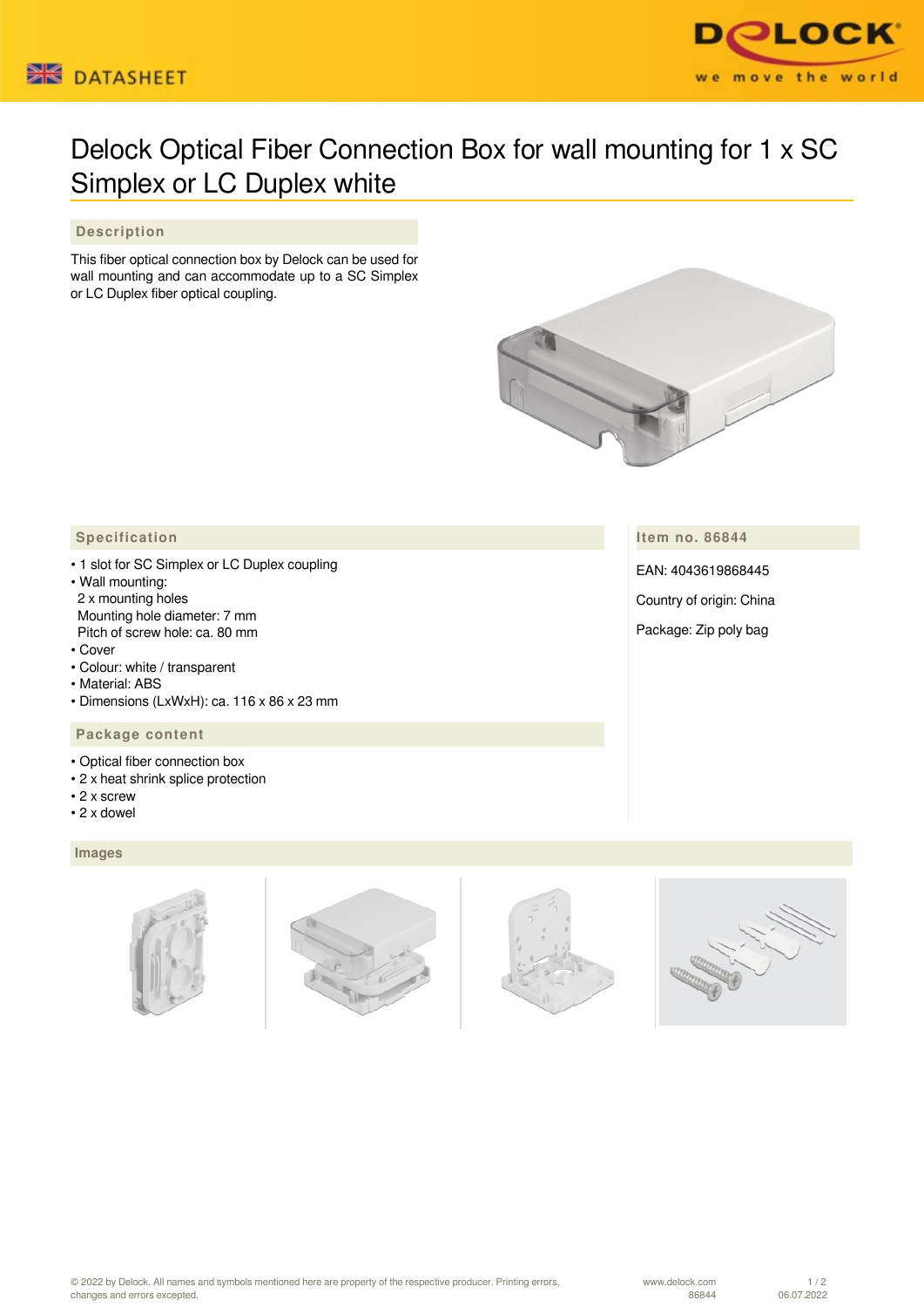



## Delock Optical Fiber Connection Box for wall mounting for 1 x SC Simplex or LC Duplex white

## **Description**

This fiber optical connection box by Delock can be used for wall mounting and can accommodate up to a SC Simplex or LC Duplex fiber optical coupling.



## **Specification**

- 1 slot for SC Simplex or LC Duplex coupling
- Wall mounting: 2 x mounting holes Mounting hole diameter: 7 mm Pitch of screw hole: ca. 80 mm
- Cover
- Colour: white / transparent
- Material: ABS
- Dimensions (LxWxH): ca. 116 x 86 x 23 mm

## **Package content**

- Optical fiber connection box
- 2 x heat shrink splice protection
- 2 x screw
- 2 x dowel

 **Images**



EAN: 4043619868445

Country of origin: China

Package: Zip poly bag